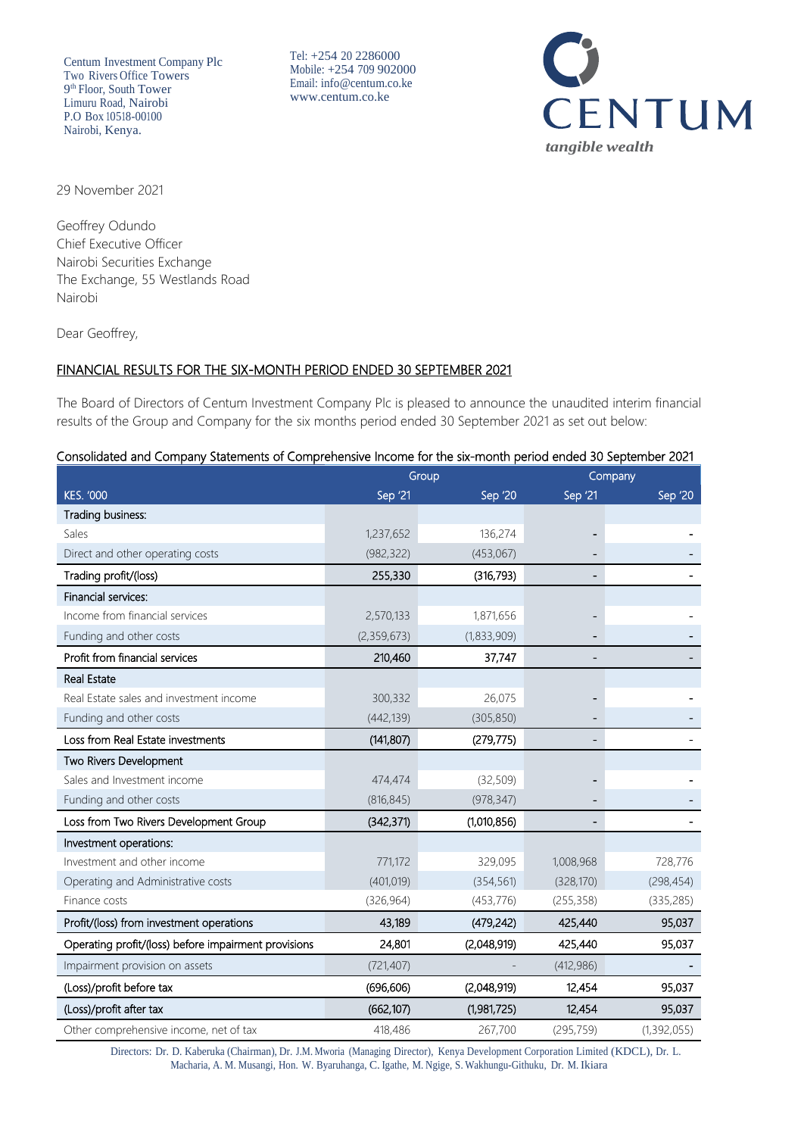Centum Investment Company Plc Two Rivers Office Towers 9 th Floor, South Tower Limuru Road, Nairobi P.O Box 10518-00100 Nairobi, Kenya.

Tel: +254 20 2286000 Mobile: +254 709 902000 Email: [info@centum.co.ke](mailto:info@centum.co.ke)  [www.centum.co.ke](http://www.centum.co.ke/)



29 November 2021

Geoffrey Odundo Chief Executive Officer Nairobi Securities Exchange The Exchange, 55 Westlands Road Nairobi

Dear Geoffrey,

# FINANCIAL RESULTS FOR THE SIX-MONTH PERIOD ENDED 30 SEPTEMBER 2021

The Board of Directors of Centum Investment Company Plc is pleased to announce the unaudited interim financial results of the Group and Company for the six months period ended 30 September 2021 as set out below:

| Consolidated and Company Statements of Comprehensive Income for the six-month period ended 30 September 2021 |  |  |  |
|--------------------------------------------------------------------------------------------------------------|--|--|--|
|                                                                                                              |  |  |  |

|                                                      | Group       |             | Company        |               |  |
|------------------------------------------------------|-------------|-------------|----------------|---------------|--|
| <b>KES. '000</b>                                     | Sep '21     | Sep '20     | Sep '21        | Sep '20       |  |
| Trading business:                                    |             |             |                |               |  |
| Sales                                                | 1,237,652   | 136,274     | -              |               |  |
| Direct and other operating costs                     | (982, 322)  | (453,067)   | $\overline{a}$ |               |  |
| Trading profit/(loss)                                | 255,330     | (316, 793)  |                |               |  |
| Financial services:                                  |             |             |                |               |  |
| Income from financial services                       | 2,570,133   | 1,871,656   |                |               |  |
| Funding and other costs                              | (2,359,673) | (1,833,909) |                |               |  |
| Profit from financial services                       | 210,460     | 37,747      |                |               |  |
| <b>Real Estate</b>                                   |             |             |                |               |  |
| Real Estate sales and investment income              | 300,332     | 26,075      |                |               |  |
| Funding and other costs                              | (442, 139)  | (305, 850)  |                |               |  |
| Loss from Real Estate investments                    | (141, 807)  | (279, 775)  |                |               |  |
| Two Rivers Development                               |             |             |                |               |  |
| Sales and Investment income                          | 474,474     | (32, 509)   |                |               |  |
| Funding and other costs                              | (816, 845)  | (978, 347)  |                |               |  |
| Loss from Two Rivers Development Group               | (342, 371)  | (1,010,856) |                |               |  |
| Investment operations:                               |             |             |                |               |  |
| Investment and other income                          | 771,172     | 329,095     | 1,008,968      | 728,776       |  |
| Operating and Administrative costs                   | (401, 019)  | (354, 561)  | (328, 170)     | (298, 454)    |  |
| Finance costs                                        | (326, 964)  | (453, 776)  | (255, 358)     | (335, 285)    |  |
| Profit/(loss) from investment operations             | 43,189      | (479, 242)  | 425,440        | 95,037        |  |
| Operating profit/(loss) before impairment provisions | 24,801      | (2,048,919) | 425,440        | 95,037        |  |
| Impairment provision on assets                       | (721, 407)  |             | (412,986)      |               |  |
| (Loss)/profit before tax                             | (696, 606)  | (2,048,919) | 12,454         | 95,037        |  |
| (Loss)/profit after tax                              | (662, 107)  | (1,981,725) | 12,454         | 95,037        |  |
| Other comprehensive income, net of tax               | 418,486     | 267,700     | (295, 759)     | (1, 392, 055) |  |

Directors: Dr. D. Kaberuka (Chairman), Dr. J.M. Mworia (Managing Director), Kenya Development Corporation Limited (KDCL), Dr. L. Macharia, A. M. Musangi, Hon. W. Byaruhanga, C. Igathe, M. Ngige, S. Wakhungu-Githuku, Dr. M. Ikiara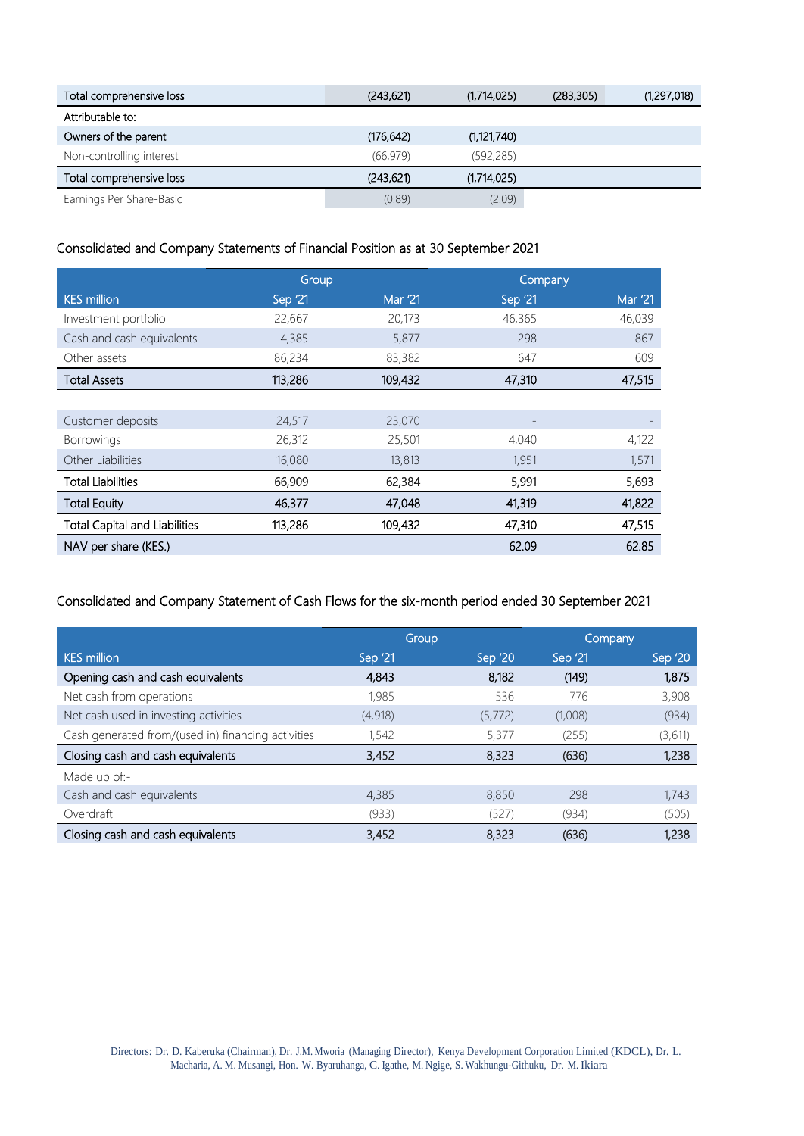| Total comprehensive loss | (243, 621) | (1,714,025)   | (283, 305) | (1,297,018) |
|--------------------------|------------|---------------|------------|-------------|
| Attributable to:         |            |               |            |             |
| Owners of the parent     | (176, 642) | (1, 121, 740) |            |             |
| Non-controlling interest | (66, 979)  | (592, 285)    |            |             |
| Total comprehensive loss | (243, 621) | (1,714,025)   |            |             |
| Earnings Per Share-Basic | (0.89)     | (2.09)        |            |             |

## Consolidated and Company Statements of Financial Position as at 30 September 2021

|                                      | Group    |                |         | Company |
|--------------------------------------|----------|----------------|---------|---------|
| <b>KES</b> million                   | Sep '21' | <b>Mar '21</b> | Sep '21 | Mar '21 |
| Investment portfolio                 | 22,667   | 20,173         | 46,365  | 46,039  |
| Cash and cash equivalents            | 4,385    | 5,877          | 298     | 867     |
| Other assets                         | 86,234   | 83,382         | 647     | 609     |
| <b>Total Assets</b>                  | 113,286  | 109,432        | 47,310  | 47,515  |
|                                      |          |                |         |         |
| Customer deposits                    | 24,517   | 23,070         |         |         |
| <b>Borrowings</b>                    | 26,312   | 25,501         | 4,040   | 4,122   |
| Other Liabilities                    | 16,080   | 13,813         | 1,951   | 1,571   |
| <b>Total Liabilities</b>             | 66,909   | 62,384         | 5,991   | 5,693   |
| <b>Total Equity</b>                  | 46,377   | 47,048         | 41,319  | 41,822  |
| <b>Total Capital and Liabilities</b> | 113,286  | 109,432        | 47,310  | 47,515  |
| NAV per share (KES.)                 |          |                | 62.09   | 62.85   |

## Consolidated and Company Statement of Cash Flows for the six-month period ended 30 September 2021

|                                                    |          | Group   |         | Company |
|----------------------------------------------------|----------|---------|---------|---------|
| <b>KES million</b>                                 | Sep '21' | Sep '20 | Sep '21 | Sep '20 |
| Opening cash and cash equivalents                  | 4,843    | 8,182   | (149)   | 1,875   |
| Net cash from operations                           | 1,985    | 536     | 776     | 3,908   |
| Net cash used in investing activities              | (4,918)  | (5,772) | (1,008) | (934)   |
| Cash generated from/(used in) financing activities | 1,542    | 5,377   | (255)   | (3,611) |
| Closing cash and cash equivalents                  | 3,452    | 8,323   | (636)   | 1,238   |
| Made up of:-                                       |          |         |         |         |
| Cash and cash equivalents                          | 4,385    | 8,850   | 298     | 1,743   |
| Overdraft                                          | (933)    | (527)   | (934)   | (505)   |
| Closing cash and cash equivalents                  | 3,452    | 8,323   | (636)   | 1,238   |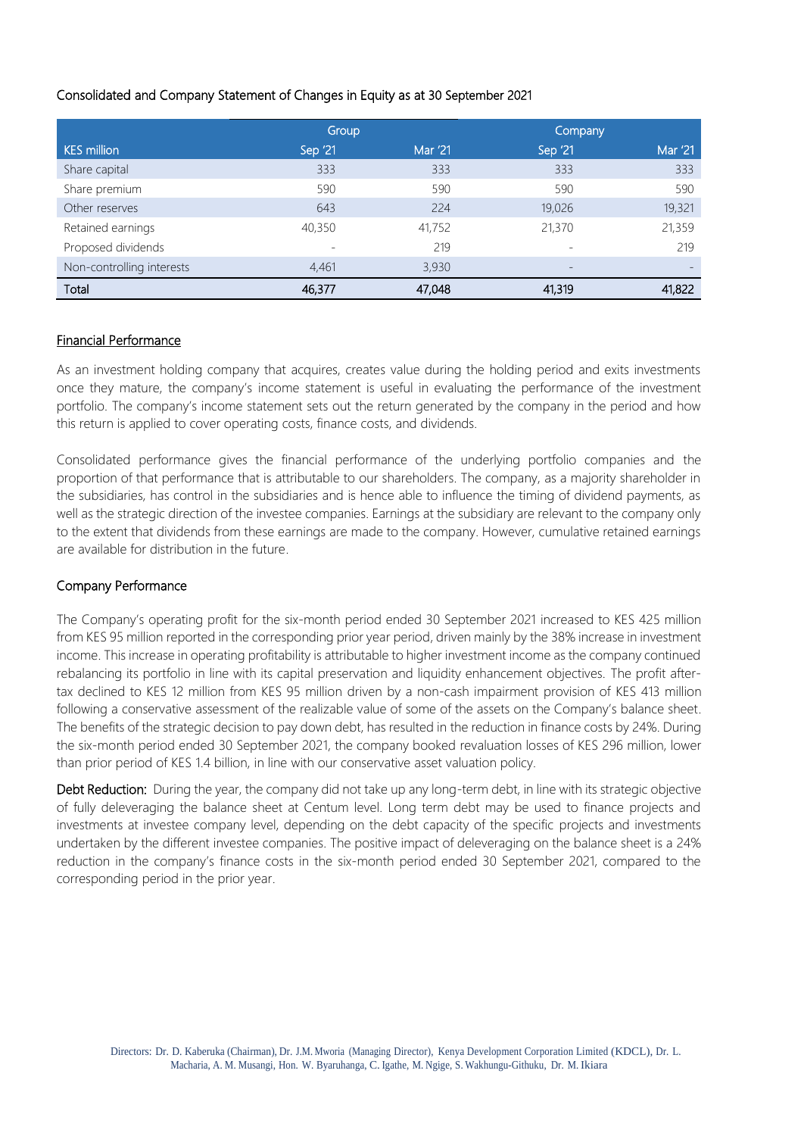## Consolidated and Company Statement of Changes in Equity as at 30 September 2021

|                           | Group   |         | Company         |         |
|---------------------------|---------|---------|-----------------|---------|
| <b>KES million</b>        | Sep '21 | Mar '21 | Sep '21         | Mar '21 |
| Share capital             | 333     | 333     | 333             | 333     |
| Share premium             | 590     | 590     | 590             | 590     |
| Other reserves            | 643     | 224     | 19,026          | 19,321  |
| Retained earnings         | 40,350  | 41,752  | 21,370          | 21,359  |
| Proposed dividends        |         | 219     |                 | 219     |
| Non-controlling interests | 4,461   | 3,930   | $\qquad \qquad$ |         |
| Total                     | 46,377  | 47,048  | 41,319          | 41,822  |

#### Financial Performance

As an investment holding company that acquires, creates value during the holding period and exits investments once they mature, the company's income statement is useful in evaluating the performance of the investment portfolio. The company's income statement sets out the return generated by the company in the period and how this return is applied to cover operating costs, finance costs, and dividends.

Consolidated performance gives the financial performance of the underlying portfolio companies and the proportion of that performance that is attributable to our shareholders. The company, as a majority shareholder in the subsidiaries, has control in the subsidiaries and is hence able to influence the timing of dividend payments, as well as the strategic direction of the investee companies. Earnings at the subsidiary are relevant to the company only to the extent that dividends from these earnings are made to the company. However, cumulative retained earnings are available for distribution in the future.

#### Company Performance

The Company's operating profit for the six-month period ended 30 September 2021 increased to KES 425 million from KES 95 million reported in the corresponding prior year period, driven mainly by the 38% increase in investment income. This increase in operating profitability is attributable to higher investment income as the company continued rebalancing its portfolio in line with its capital preservation and liquidity enhancement objectives. The profit aftertax declined to KES 12 million from KES 95 million driven by a non-cash impairment provision of KES 413 million following a conservative assessment of the realizable value of some of the assets on the Company's balance sheet. The benefits of the strategic decision to pay down debt, has resulted in the reduction in finance costs by 24%. During the six-month period ended 30 September 2021, the company booked revaluation losses of KES 296 million, lower than prior period of KES 1.4 billion, in line with our conservative asset valuation policy.

Debt Reduction: During the year, the company did not take up any long-term debt, in line with its strategic objective of fully deleveraging the balance sheet at Centum level. Long term debt may be used to finance projects and investments at investee company level, depending on the debt capacity of the specific projects and investments undertaken by the different investee companies. The positive impact of deleveraging on the balance sheet is a 24% reduction in the company's finance costs in the six-month period ended 30 September 2021, compared to the corresponding period in the prior year.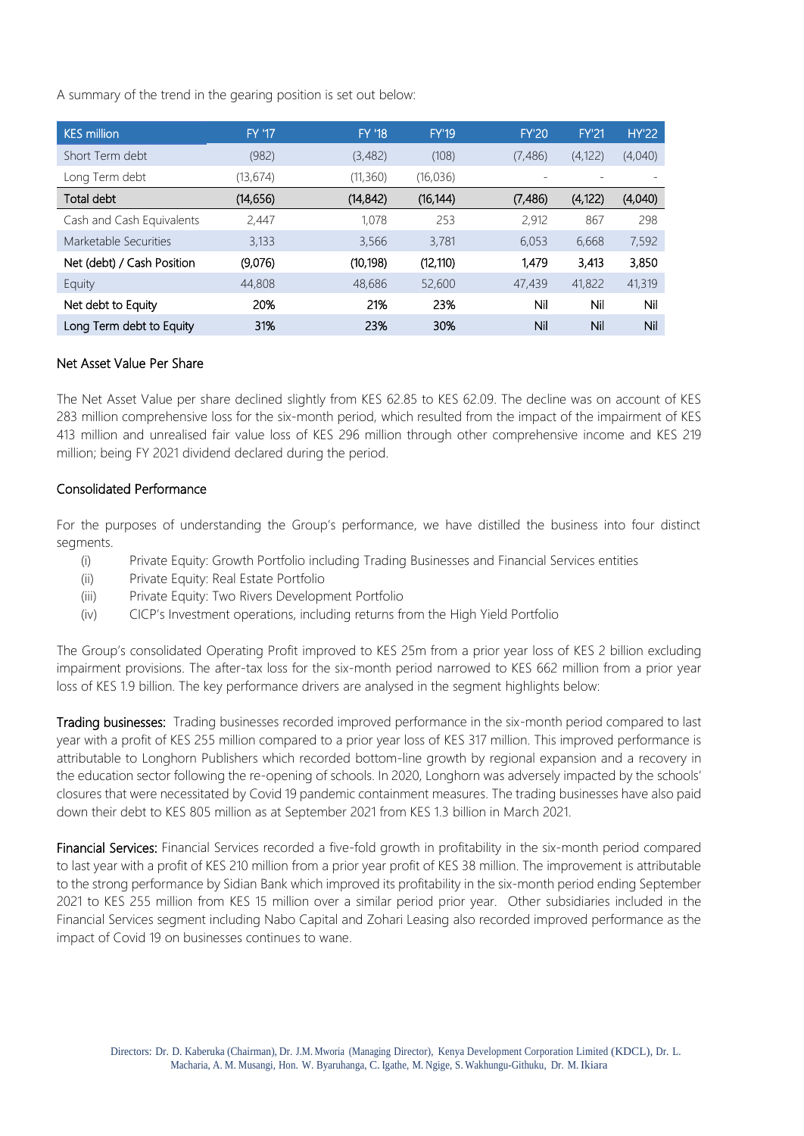A summary of the trend in the gearing position is set out below:

| <b>KES million</b>         | <b>FY '17</b> | <b>FY '18</b> | <b>FY'19</b> | <b>FY'20</b> | <b>FY'21</b> | <b>HY'22</b> |
|----------------------------|---------------|---------------|--------------|--------------|--------------|--------------|
| Short Term debt            | (982)         | (3,482)       | (108)        | (7,486)      | (4, 122)     | (4,040)      |
| Long Term debt             | (13, 674)     | (11, 360)     | (16, 036)    |              |              |              |
| Total debt                 | (14, 656)     | (14, 842)     | (16, 144)    | (7, 486)     | (4, 122)     | (4,040)      |
| Cash and Cash Equivalents  | 2,447         | 1.078         | 253          | 2,912        | 867          | 298          |
| Marketable Securities      | 3,133         | 3,566         | 3,781        | 6,053        | 6,668        | 7,592        |
| Net (debt) / Cash Position | (9,076)       | (10, 198)     | (12, 110)    | 1,479        | 3,413        | 3,850        |
| Equity                     | 44,808        | 48,686        | 52,600       | 47,439       | 41,822       | 41,319       |
| Net debt to Equity         | 20%           | 21%           | 23%          | Nil          | Nil          | Nil          |
| Long Term debt to Equity   | 31%           | 23%           | 30%          | Nil          | Nil          | Nil          |

#### Net Asset Value Per Share

The Net Asset Value per share declined slightly from KES 62.85 to KES 62.09. The decline was on account of KES 283 million comprehensive loss for the six-month period, which resulted from the impact of the impairment of KES 413 million and unrealised fair value loss of KES 296 million through other comprehensive income and KES 219 million; being FY 2021 dividend declared during the period.

### Consolidated Performance

For the purposes of understanding the Group's performance, we have distilled the business into four distinct segments.

- (i) Private Equity: Growth Portfolio including Trading Businesses and Financial Services entities
- (ii) Private Equity: Real Estate Portfolio
- (iii) Private Equity: Two Rivers Development Portfolio
- (iv) CICP's Investment operations, including returns from the High Yield Portfolio

The Group's consolidated Operating Profit improved to KES 25m from a prior year loss of KES 2 billion excluding impairment provisions. The after-tax loss for the six-month period narrowed to KES 662 million from a prior year loss of KES 1.9 billion. The key performance drivers are analysed in the segment highlights below:

Trading businesses: Trading businesses recorded improved performance in the six-month period compared to last year with a profit of KES 255 million compared to a prior year loss of KES 317 million. This improved performance is attributable to Longhorn Publishers which recorded bottom-line growth by regional expansion and a recovery in the education sector following the re-opening of schools. In 2020, Longhorn was adversely impacted by the schools' closures that were necessitated by Covid 19 pandemic containment measures. The trading businesses have also paid down their debt to KES 805 million as at September 2021 from KES 1.3 billion in March 2021.

Financial Services: Financial Services recorded a five-fold growth in profitability in the six-month period compared to last year with a profit of KES 210 million from a prior year profit of KES 38 million. The improvement is attributable to the strong performance by Sidian Bank which improved its profitability in the six-month period ending September 2021 to KES 255 million from KES 15 million over a similar period prior year. Other subsidiaries included in the Financial Services segment including Nabo Capital and Zohari Leasing also recorded improved performance as the impact of Covid 19 on businesses continues to wane.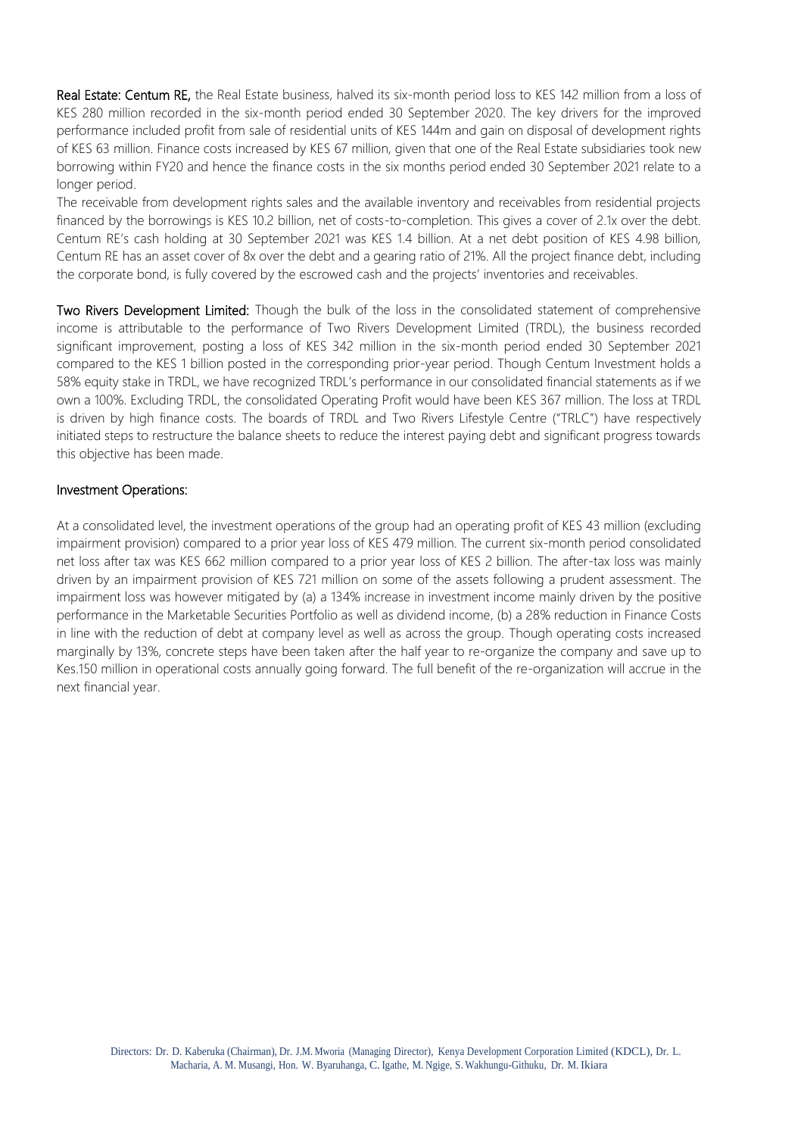Real Estate: Centum RE, the Real Estate business, halved its six-month period loss to KES 142 million from a loss of KES 280 million recorded in the six-month period ended 30 September 2020. The key drivers for the improved performance included profit from sale of residential units of KES 144m and gain on disposal of development rights of KES 63 million. Finance costs increased by KES 67 million, given that one of the Real Estate subsidiaries took new borrowing within FY20 and hence the finance costs in the six months period ended 30 September 2021 relate to a longer period.

The receivable from development rights sales and the available inventory and receivables from residential projects financed by the borrowings is KES 10.2 billion, net of costs-to-completion. This gives a cover of 2.1x over the debt. Centum RE's cash holding at 30 September 2021 was KES 1.4 billion. At a net debt position of KES 4.98 billion, Centum RE has an asset cover of 8x over the debt and a gearing ratio of 21%. All the project finance debt, including the corporate bond, is fully covered by the escrowed cash and the projects' inventories and receivables.

Two Rivers Development Limited: Though the bulk of the loss in the consolidated statement of comprehensive income is attributable to the performance of Two Rivers Development Limited (TRDL), the business recorded significant improvement, posting a loss of KES 342 million in the six-month period ended 30 September 2021 compared to the KES 1 billion posted in the corresponding prior-year period. Though Centum Investment holds a 58% equity stake in TRDL, we have recognized TRDL's performance in our consolidated financial statements as if we own a 100%. Excluding TRDL, the consolidated Operating Profit would have been KES 367 million. The loss at TRDL is driven by high finance costs. The boards of TRDL and Two Rivers Lifestyle Centre ("TRLC") have respectively initiated steps to restructure the balance sheets to reduce the interest paying debt and significant progress towards this objective has been made.

#### Investment Operations:

At a consolidated level, the investment operations of the group had an operating profit of KES 43 million (excluding impairment provision) compared to a prior year loss of KES 479 million. The current six-month period consolidated net loss after tax was KES 662 million compared to a prior year loss of KES 2 billion. The after-tax loss was mainly driven by an impairment provision of KES 721 million on some of the assets following a prudent assessment. The impairment loss was however mitigated by (a) a 134% increase in investment income mainly driven by the positive performance in the Marketable Securities Portfolio as well as dividend income, (b) a 28% reduction in Finance Costs in line with the reduction of debt at company level as well as across the group. Though operating costs increased marginally by 13%, concrete steps have been taken after the half year to re-organize the company and save up to Kes.150 million in operational costs annually going forward. The full benefit of the re-organization will accrue in the next financial year.